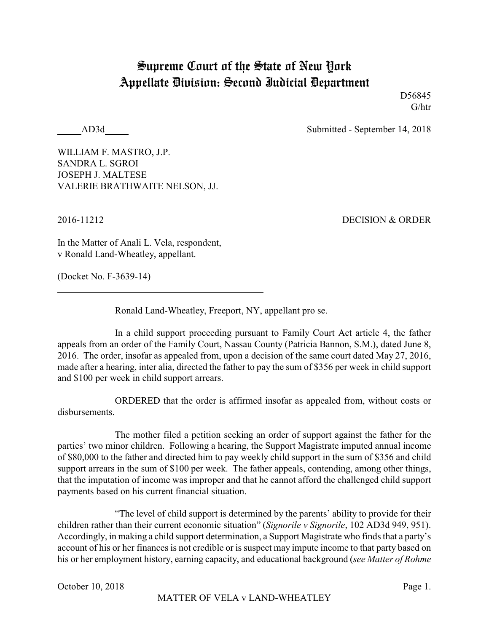## Supreme Court of the State of New York Appellate Division: Second Judicial Department

D56845 G/htr

AD3d Submitted - September 14, 2018

WILLIAM F. MASTRO, J.P. SANDRA L. SGROI JOSEPH J. MALTESE VALERIE BRATHWAITE NELSON, JJ.

2016-11212 DECISION & ORDER

In the Matter of Anali L. Vela, respondent, v Ronald Land-Wheatley, appellant.

(Docket No. F-3639-14)

Ronald Land-Wheatley, Freeport, NY, appellant pro se.

In a child support proceeding pursuant to Family Court Act article 4, the father appeals from an order of the Family Court, Nassau County (Patricia Bannon, S.M.), dated June 8, 2016. The order, insofar as appealed from, upon a decision of the same court dated May 27, 2016, made after a hearing, inter alia, directed the father to pay the sum of \$356 per week in child support and \$100 per week in child support arrears.

ORDERED that the order is affirmed insofar as appealed from, without costs or disbursements.

The mother filed a petition seeking an order of support against the father for the parties' two minor children. Following a hearing, the Support Magistrate imputed annual income of \$80,000 to the father and directed him to pay weekly child support in the sum of \$356 and child support arrears in the sum of \$100 per week. The father appeals, contending, among other things, that the imputation of income was improper and that he cannot afford the challenged child support payments based on his current financial situation.

"The level of child support is determined by the parents' ability to provide for their children rather than their current economic situation" (*Signorile v Signorile*, 102 AD3d 949, 951). Accordingly, in making a child support determination, a Support Magistrate who finds that a party's account of his or her finances is not credible or is suspect may impute income to that party based on his or her employment history, earning capacity, and educational background (*see Matter of Rohme*

MATTER OF VELA v LAND-WHEATLEY